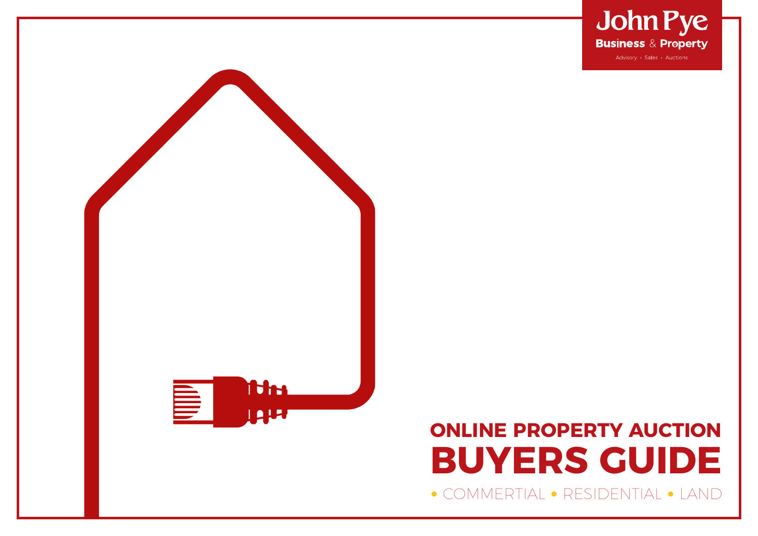



## **ONLINE PROPERTY AUCTION BUYERS GUIDE •** COMMERTIAL **•** RESIDENTIAL **•** LAND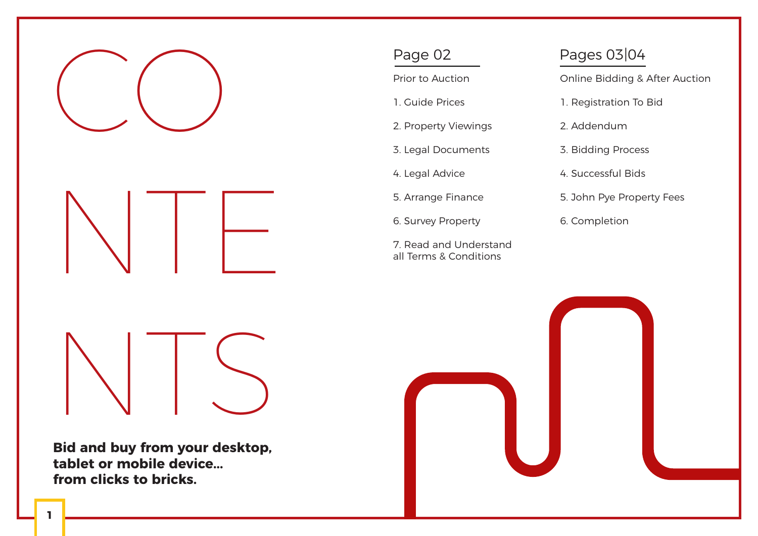

**Bid and buy from your desktop, tablet or mobile device... from clicks to bricks.**

Prior to Auction

- 1. Guide Prices
- 2. Property Viewings
- 3. Legal Documents
- 4. Legal Advice
- 5. Arrange Finance
- 6. Survey Property
- 7. Read and Understand all Terms & Conditions

### Page 02 Pages 03|04

Online Bidding & After Auction

- 1. Registration To Bid
- 2. Addendum
- 3. Bidding Process
- 4. Successful Bids
- 5. John Pye Property Fees
- 6. Completion

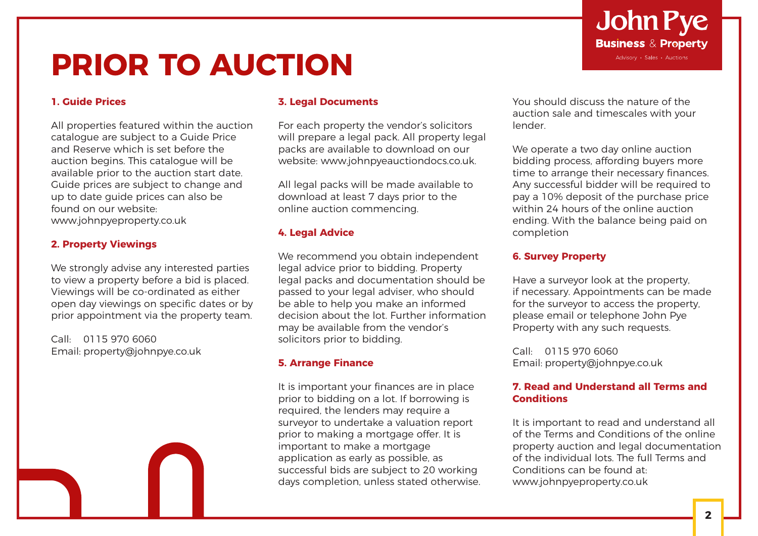# **PRIOR TO AUCTION**

#### **1. Guide Prices**

All properties featured within the auction catalogue are subject to a Guide Price and Reserve which is set before the auction begins. This catalogue will be available prior to the auction start date. Guide prices are subject to change and up to date guide prices can also be found on our website: www.johnpyeproperty.co.uk

#### **2. Property Viewings**

We strongly advise any interested parties to view a property before a bid is placed. Viewings will be co-ordinated as either open day viewings on specific dates or by prior appointment via the property team.

Call: 0115 970 6060 Email: property@johnpye.co.uk

#### **3. Legal Documents**

For each property the vendor's solicitors will prepare a legal pack. All property legal packs are available to download on our website: www.johnpyeauctiondocs.co.uk.

All legal packs will be made available to download at least 7 days prior to the online auction commencing.

#### **4. Legal Advice**

We recommend you obtain independent legal advice prior to bidding. Property legal packs and documentation should be passed to your legal adviser, who should be able to help you make an informed decision about the lot. Further information may be available from the vendor's solicitors prior to bidding.

#### **5. Arrange Finance**

It is important your finances are in place prior to bidding on a lot. If borrowing is required, the lenders may require a surveyor to undertake a valuation report prior to making a mortgage offer. It is important to make a mortgage application as early as possible, as successful bids are subject to 20 working days completion, unless stated otherwise.

You should discuss the nature of the auction sale and timescales with your lender.

We operate a two day online auction bidding process, affording buyers more time to arrange their necessary finances. Any successful bidder will be required to pay a 10% deposit of the purchase price within 24 hours of the online auction ending. With the balance being paid on completion

#### **6. Survey Property**

Have a surveyor look at the property, if necessary. Appointments can be made for the surveyor to access the property, please email or telephone John Pye Property with any such requests.

Call: 0115 970 6060 Email: property@johnpye.co.uk

#### **7. Read and Understand all Terms and Conditions**

It is important to read and understand all of the Terms and Conditions of the online property auction and legal documentation of the individual lots. The full Terms and Conditions can be found at: www.johnpyeproperty.co.uk

### **John Pye Business & Property** Advisory · Sales · Auctions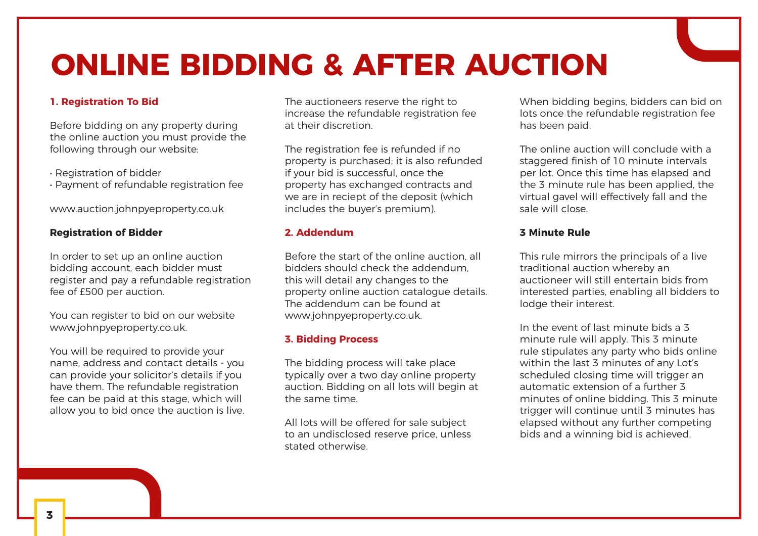# **ONLINE BIDDING & AFTER AUCTION**

#### **1. Registration To Bid**

Before bidding on any property during the online auction you must provide the following through our website:

- Registration of bidder
- Payment of refundable registration fee

www.auction.johnpyeproperty.co.uk

#### **Registration of Bidder**

In order to set up an online auction bidding account, each bidder must register and pay a refundable registration fee of £500 per auction.

You can register to bid on our website www.johnpyeproperty.co.uk.

You will be required to provide your name, address and contact details - you can provide your solicitor's details if you have them. The refundable registration fee can be paid at this stage, which will allow you to bid once the auction is live. The auctioneers reserve the right to increase the refundable registration fee at their discretion.

The registration fee is refunded if no property is purchased; it is also refunded if your bid is successful, once the property has exchanged contracts and we are in reciept of the deposit (which includes the buyer's premium).

#### **2. Addendum**

Before the start of the online auction, all bidders should check the addendum, this will detail any changes to the property online auction catalogue details. The addendum can be found at www.johnpyeproperty.co.uk.

#### **3. Bidding Process**

The bidding process will take place typically over a two day online property auction. Bidding on all lots will begin at the same time.

All lots will be offered for sale subject to an undisclosed reserve price, unless stated otherwise.

When bidding begins, bidders can bid on lots once the refundable registration fee has been paid.

The online auction will conclude with a staggered finish of 10 minute intervals per lot. Once this time has elapsed and the 3 minute rule has been applied, the virtual gavel will effectively fall and the sale will close.

#### **3 Minute Rule**

This rule mirrors the principals of a live traditional auction whereby an auctioneer will still entertain bids from interested parties, enabling all bidders to lodge their interest.

In the event of last minute bids a 3 minute rule will apply. This 3 minute rule stipulates any party who bids online within the last 3 minutes of any Lot's scheduled closing time will trigger an automatic extension of a further 3 minutes of online bidding. This 3 minute trigger will continue until 3 minutes has elapsed without any further competing bids and a winning bid is achieved.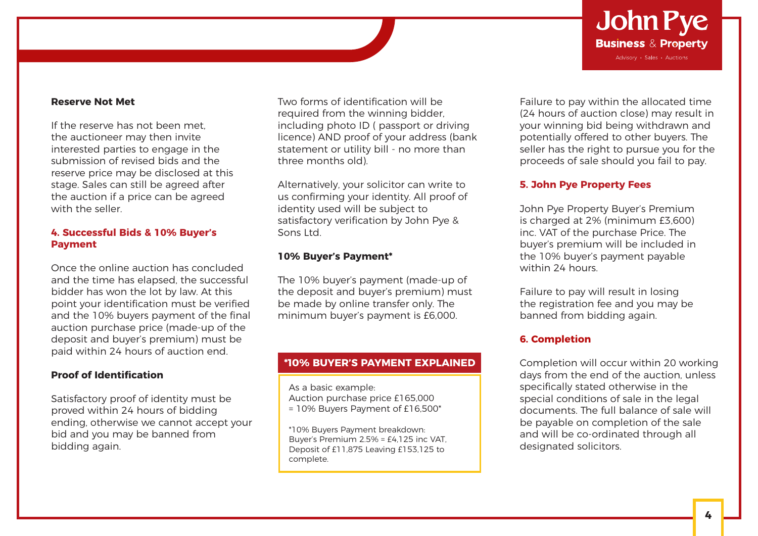

#### **Reserve Not Met**

If the reserve has not been met the auctioneer may then invite interested parties to engage in the submission of revised bids and the reserve price may be disclosed at this stage. Sales can still be agreed after the auction if a price can be agreed with the seller.

#### **4. Successful Bids & 10% Buyer's Payment**

Once the online auction has concluded and the time has elapsed, the successful bidder has won the lot by law. At this point your identification must be verified and the 10% buyers payment of the final auction purchase price (made-up of the deposit and buyer's premium) must be paid within 24 hours of auction end.

#### **Proof of Identification**

Satisfactory proof of identity must be proved within 24 hours of bidding ending, otherwise we cannot accept your bid and you may be banned from bidding again.

Two forms of identification will be required from the winning bidder, including photo ID ( passport or driving licence) AND proof of your address (bank statement or utility bill - no more than three months old).

Alternatively, your solicitor can write to us confirming your identity. All proof of identity used will be subject to satisfactory verification by John Pye & Sons Ltd.

#### **10% Buyer's Payment\***

The 10% buyer's payment (made-up of the deposit and buyer's premium) must be made by online transfer only. The minimum buyer's payment is £6,000.

#### **\*10% BUYER'S PAYMENT EXPLAINED**

As a basic example: Auction purchase price £165,000 = 10% Buyers Payment of £16,500\*

\*10% Buyers Payment breakdown: Buyer's Premium 2.5% = £4,125 inc VAT, Deposit of £11,875 Leaving £153,125 to complete.

Failure to pay within the allocated time (24 hours of auction close) may result in your winning bid being withdrawn and potentially offered to other buyers. The seller has the right to pursue you for the proceeds of sale should you fail to pay.

#### **5. John Pye Property Fees**

John Pye Property Buyer's Premium is charged at 2% (minimum £3,600) inc. VAT of the purchase Price. The buyer's premium will be included in the 10% buyer's payment payable within 24 hours.

Failure to pay will result in losing the registration fee and you may be banned from bidding again.

#### **6. Completion**

Completion will occur within 20 working days from the end of the auction, unless specifically stated otherwise in the special conditions of sale in the legal documents. The full balance of sale will be payable on completion of the sale and will be co-ordinated through all designated solicitors.